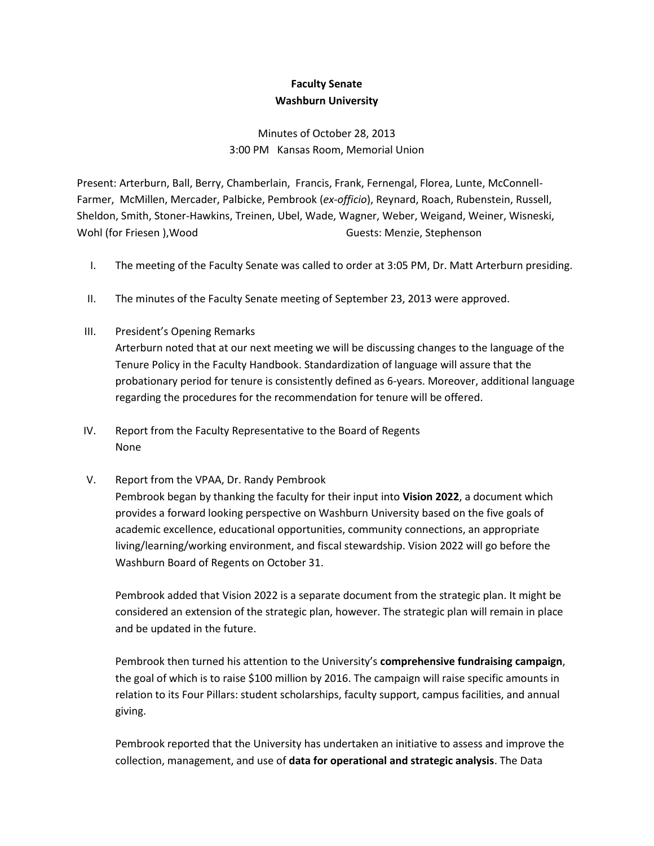## **Faculty Senate Washburn University**

## Minutes of October 28, 2013 3:00 PM Kansas Room, Memorial Union

Present: Arterburn, Ball, Berry, Chamberlain, Francis, Frank, Fernengal, Florea, Lunte, McConnell-Farmer, McMillen, Mercader, Palbicke, Pembrook (*ex-officio*), Reynard, Roach, Rubenstein, Russell, Sheldon, Smith, Stoner-Hawkins, Treinen, Ubel, Wade, Wagner, Weber, Weigand, Weiner, Wisneski, Wohl (for Friesen ),Wood Guests: Menzie, Stephenson

- I. The meeting of the Faculty Senate was called to order at 3:05 PM, Dr. Matt Arterburn presiding.
- II. The minutes of the Faculty Senate meeting of September 23, 2013 were approved.
- III. President's Opening Remarks

Arterburn noted that at our next meeting we will be discussing changes to the language of the Tenure Policy in the Faculty Handbook. Standardization of language will assure that the probationary period for tenure is consistently defined as 6-years. Moreover, additional language regarding the procedures for the recommendation for tenure will be offered.

- IV. Report from the Faculty Representative to the Board of Regents None
- V. Report from the VPAA, Dr. Randy Pembrook

Pembrook began by thanking the faculty for their input into **Vision 2022**, a document which provides a forward looking perspective on Washburn University based on the five goals of academic excellence, educational opportunities, community connections, an appropriate living/learning/working environment, and fiscal stewardship. Vision 2022 will go before the Washburn Board of Regents on October 31.

Pembrook added that Vision 2022 is a separate document from the strategic plan. It might be considered an extension of the strategic plan, however. The strategic plan will remain in place and be updated in the future.

Pembrook then turned his attention to the University's **comprehensive fundraising campaign**, the goal of which is to raise \$100 million by 2016. The campaign will raise specific amounts in relation to its Four Pillars: student scholarships, faculty support, campus facilities, and annual giving.

Pembrook reported that the University has undertaken an initiative to assess and improve the collection, management, and use of **data for operational and strategic analysis**. The Data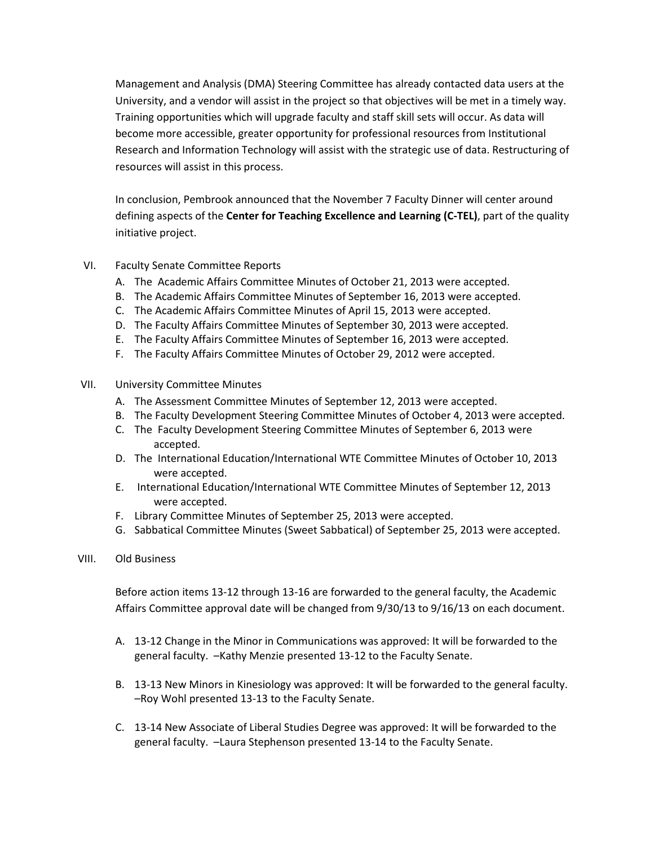Management and Analysis (DMA) Steering Committee has already contacted data users at the University, and a vendor will assist in the project so that objectives will be met in a timely way. Training opportunities which will upgrade faculty and staff skill sets will occur. As data will become more accessible, greater opportunity for professional resources from Institutional Research and Information Technology will assist with the strategic use of data. Restructuring of resources will assist in this process.

In conclusion, Pembrook announced that the November 7 Faculty Dinner will center around defining aspects of the **Center for Teaching Excellence and Learning (C-TEL)**, part of the quality initiative project.

- VI. Faculty Senate Committee Reports
	- A. The Academic Affairs Committee Minutes of October 21, 2013 were accepted.
	- B. The Academic Affairs Committee Minutes of September 16, 2013 were accepted.
	- C. The Academic Affairs Committee Minutes of April 15, 2013 were accepted.
	- D. The Faculty Affairs Committee Minutes of September 30, 2013 were accepted.
	- E. The Faculty Affairs Committee Minutes of September 16, 2013 were accepted.
	- F. The Faculty Affairs Committee Minutes of October 29, 2012 were accepted.
- VII. University Committee Minutes
	- A. The Assessment Committee Minutes of September 12, 2013 were accepted.
	- B. The Faculty Development Steering Committee Minutes of October 4, 2013 were accepted.
	- C. The Faculty Development Steering Committee Minutes of September 6, 2013 were accepted.
	- D. The International Education/International WTE Committee Minutes of October 10, 2013 were accepted.
	- E. International Education/International WTE Committee Minutes of September 12, 2013 were accepted.
	- F. Library Committee Minutes of September 25, 2013 were accepted.
	- G. Sabbatical Committee Minutes (Sweet Sabbatical) of September 25, 2013 were accepted.
- VIII. Old Business

Before action items 13-12 through 13-16 are forwarded to the general faculty, the Academic Affairs Committee approval date will be changed from 9/30/13 to 9/16/13 on each document.

- A. 13-12 Change in the Minor in Communications was approved: It will be forwarded to the general faculty. –Kathy Menzie presented 13-12 to the Faculty Senate.
- B. 13-13 New Minors in Kinesiology was approved: It will be forwarded to the general faculty. –Roy Wohl presented 13-13 to the Faculty Senate.
- C. 13-14 New Associate of Liberal Studies Degree was approved: It will be forwarded to the general faculty. –Laura Stephenson presented 13-14 to the Faculty Senate.